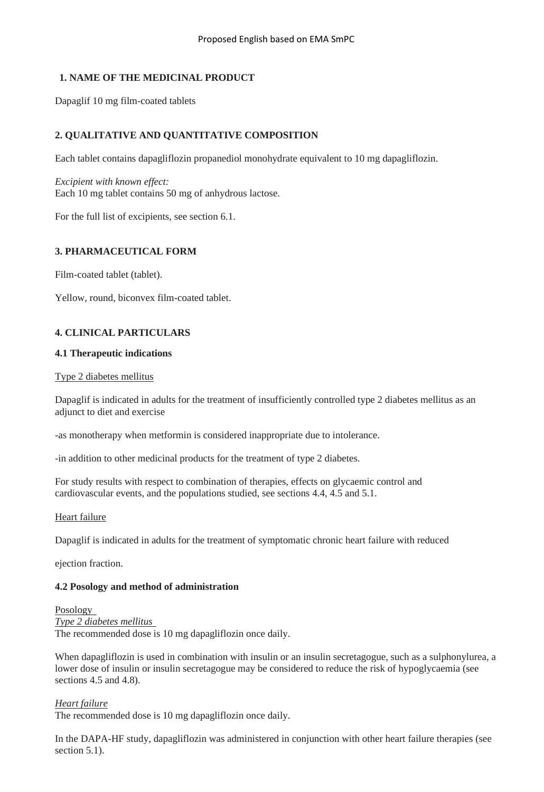## **1. NAME OF THE MEDICINAL PRODUCT**

Dapaglif 10 mg film-coated tablets

## **2. QUALITATIVE AND QUANTITATIVE COMPOSITION**

Each tablet contains dapagliflozin propanediol monohydrate equivalent to 10 mg dapagliflozin.

*Excipient with known effect:*  Each 10 mg tablet contains 50 mg of anhydrous lactose.

For the full list of excipients, see section 6.1.

## **3. PHARMACEUTICAL FORM**

Film-coated tablet (tablet).

Yellow, round, biconvex film-coated tablet.

## **4. CLINICAL PARTICULARS**

### **4.1 Therapeutic indications**

#### Type 2 diabetes mellitus

Dapaglif is indicated in adults for the treatment of insufficiently controlled type 2 diabetes mellitus as an adjunct to diet and exercise

-as monotherapy when metformin is considered inappropriate due to intolerance.

-in addition to other medicinal products for the treatment of type 2 diabetes.

For study results with respect to combination of therapies, effects on glycaemic control and cardiovascular events, and the populations studied, see sections 4.4, 4.5 and 5.1.

#### Heart failure

Dapaglif is indicated in adults for the treatment of symptomatic chronic heart failure with reduced

ejection fraction.

#### **4.2 Posology and method of administration**

Posology *Type 2 diabetes mellitus*  The recommended dose is 10 mg dapagliflozin once daily.

When dapagliflozin is used in combination with insulin or an insulin secretagogue, such as a sulphonylurea, a lower dose of insulin or insulin secretagogue may be considered to reduce the risk of hypoglycaemia (see sections 4.5 and 4.8).

#### *Heart failure*

The recommended dose is 10 mg dapagliflozin once daily.

In the DAPA-HF study, dapagliflozin was administered in conjunction with other heart failure therapies (see section 5.1).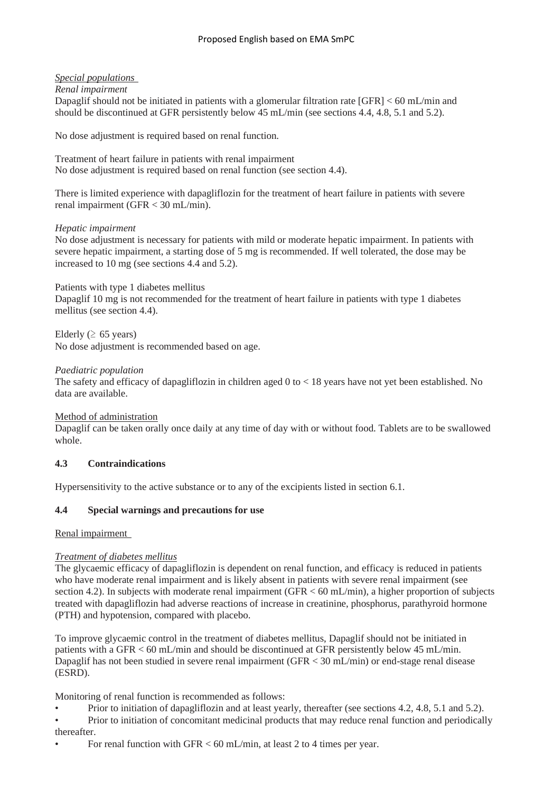## *Special populations*

*Renal impairment* 

Dapaglif should not be initiated in patients with a glomerular filtration rate [GFR] < 60 mL/min and should be discontinued at GFR persistently below 45 mL/min (see sections 4.4, 4.8, 5.1 and 5.2).

No dose adjustment is required based on renal function.

Treatment of heart failure in patients with renal impairment No dose adjustment is required based on renal function (see section 4.4).

There is limited experience with dapagliflozin for the treatment of heart failure in patients with severe renal impairment (GFR < 30 mL/min).

#### *Hepatic impairment*

No dose adjustment is necessary for patients with mild or moderate hepatic impairment. In patients with severe hepatic impairment, a starting dose of 5 mg is recommended. If well tolerated, the dose may be increased to 10 mg (see sections 4.4 and 5.2).

Patients with type 1 diabetes mellitus

Dapaglif 10 mg is not recommended for the treatment of heart failure in patients with type 1 diabetes mellitus (see section 4.4).

Elderly ( $\geq 65$  years)

No dose adjustment is recommended based on age.

#### *Paediatric population*

The safety and efficacy of dapagliflozin in children aged 0 to < 18 years have not yet been established. No data are available.

#### Method of administration

Dapaglif can be taken orally once daily at any time of day with or without food. Tablets are to be swallowed whole.

#### **4.3 Contraindications**

Hypersensitivity to the active substance or to any of the excipients listed in section 6.1.

#### **4.4 Special warnings and precautions for use**

Renal impairment

#### *Treatment of diabetes mellitus*

The glycaemic efficacy of dapagliflozin is dependent on renal function, and efficacy is reduced in patients who have moderate renal impairment and is likely absent in patients with severe renal impairment (see section 4.2). In subjects with moderate renal impairment (GFR < 60 mL/min), a higher proportion of subjects treated with dapagliflozin had adverse reactions of increase in creatinine, phosphorus, parathyroid hormone (PTH) and hypotension, compared with placebo.

To improve glycaemic control in the treatment of diabetes mellitus, Dapaglif should not be initiated in patients with a GFR < 60 mL/min and should be discontinued at GFR persistently below 45 mL/min. Dapaglif has not been studied in severe renal impairment (GFR < 30 mL/min) or end-stage renal disease (ESRD).

Monitoring of renal function is recommended as follows:

• Prior to initiation of dapagliflozin and at least yearly, thereafter (see sections 4.2, 4.8, 5.1 and 5.2).

• Prior to initiation of concomitant medicinal products that may reduce renal function and periodically thereafter.

• For renal function with GFR < 60 mL/min, at least 2 to 4 times per year.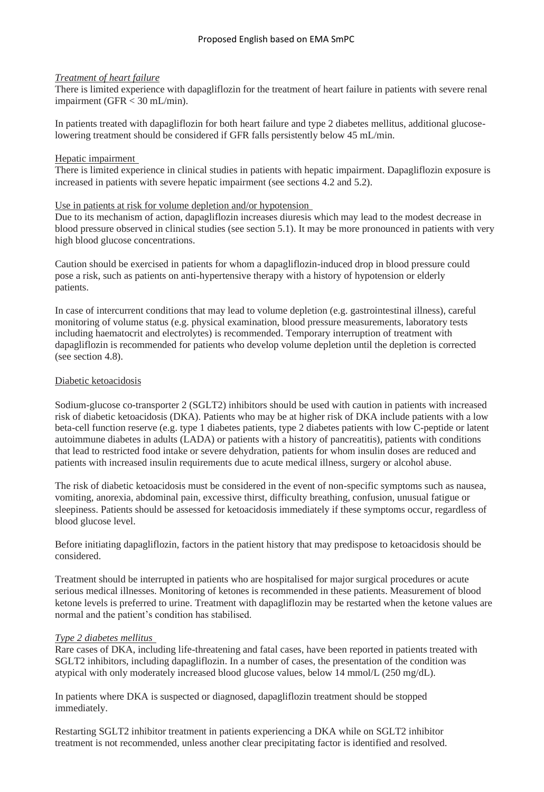#### *Treatment of heart failure*

There is limited experience with dapagliflozin for the treatment of heart failure in patients with severe renal impairment (GFR < 30 mL/min).

In patients treated with dapagliflozin for both heart failure and type 2 diabetes mellitus, additional glucoselowering treatment should be considered if GFR falls persistently below 45 mL/min.

### Hepatic impairment

There is limited experience in clinical studies in patients with hepatic impairment. Dapagliflozin exposure is increased in patients with severe hepatic impairment (see sections 4.2 and 5.2).

### Use in patients at risk for volume depletion and/or hypotension

Due to its mechanism of action, dapagliflozin increases diuresis which may lead to the modest decrease in blood pressure observed in clinical studies (see section 5.1). It may be more pronounced in patients with very high blood glucose concentrations.

Caution should be exercised in patients for whom a dapagliflozin-induced drop in blood pressure could pose a risk, such as patients on anti-hypertensive therapy with a history of hypotension or elderly patients.

In case of intercurrent conditions that may lead to volume depletion (e.g. gastrointestinal illness), careful monitoring of volume status (e.g. physical examination, blood pressure measurements, laboratory tests including haematocrit and electrolytes) is recommended. Temporary interruption of treatment with dapagliflozin is recommended for patients who develop volume depletion until the depletion is corrected (see section 4.8).

### Diabetic ketoacidosis

Sodium-glucose co-transporter 2 (SGLT2) inhibitors should be used with caution in patients with increased risk of diabetic ketoacidosis (DKA). Patients who may be at higher risk of DKA include patients with a low beta-cell function reserve (e.g. type 1 diabetes patients, type 2 diabetes patients with low C-peptide or latent autoimmune diabetes in adults (LADA) or patients with a history of pancreatitis), patients with conditions that lead to restricted food intake or severe dehydration, patients for whom insulin doses are reduced and patients with increased insulin requirements due to acute medical illness, surgery or alcohol abuse.

The risk of diabetic ketoacidosis must be considered in the event of non-specific symptoms such as nausea, vomiting, anorexia, abdominal pain, excessive thirst, difficulty breathing, confusion, unusual fatigue or sleepiness. Patients should be assessed for ketoacidosis immediately if these symptoms occur, regardless of blood glucose level.

Before initiating dapagliflozin, factors in the patient history that may predispose to ketoacidosis should be considered.

Treatment should be interrupted in patients who are hospitalised for major surgical procedures or acute serious medical illnesses. Monitoring of ketones is recommended in these patients. Measurement of blood ketone levels is preferred to urine. Treatment with dapagliflozin may be restarted when the ketone values are normal and the patient's condition has stabilised.

## *Type 2 diabetes mellitus*

Rare cases of DKA, including life-threatening and fatal cases, have been reported in patients treated with SGLT2 inhibitors, including dapagliflozin. In a number of cases, the presentation of the condition was atypical with only moderately increased blood glucose values, below 14 mmol/L (250 mg/dL).

In patients where DKA is suspected or diagnosed, dapagliflozin treatment should be stopped immediately.

Restarting SGLT2 inhibitor treatment in patients experiencing a DKA while on SGLT2 inhibitor treatment is not recommended, unless another clear precipitating factor is identified and resolved.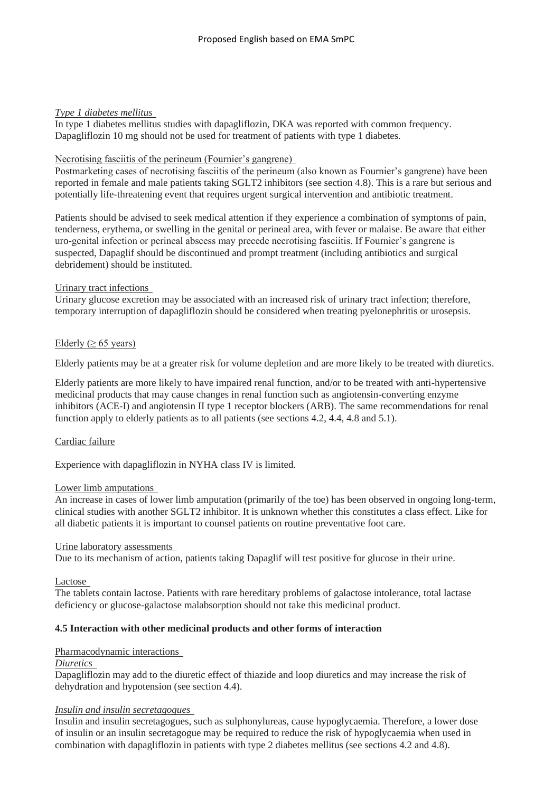### *Type 1 diabetes mellitus*

In type 1 diabetes mellitus studies with dapagliflozin, DKA was reported with common frequency. Dapagliflozin 10 mg should not be used for treatment of patients with type 1 diabetes.

## Necrotising fasciitis of the perineum (Fournier's gangrene)

Postmarketing cases of necrotising fasciitis of the perineum (also known as Fournier's gangrene) have been reported in female and male patients taking SGLT2 inhibitors (see section 4.8). This is a rare but serious and potentially life-threatening event that requires urgent surgical intervention and antibiotic treatment.

Patients should be advised to seek medical attention if they experience a combination of symptoms of pain, tenderness, erythema, or swelling in the genital or perineal area, with fever or malaise. Be aware that either uro-genital infection or perineal abscess may precede necrotising fasciitis. If Fournier's gangrene is suspected, Dapaglif should be discontinued and prompt treatment (including antibiotics and surgical debridement) should be instituted.

#### Urinary tract infections

Urinary glucose excretion may be associated with an increased risk of urinary tract infection; therefore, temporary interruption of dapagliflozin should be considered when treating pyelonephritis or urosepsis.

### Elderly ( $\geq 65$  years)

Elderly patients may be at a greater risk for volume depletion and are more likely to be treated with diuretics.

Elderly patients are more likely to have impaired renal function, and/or to be treated with anti-hypertensive medicinal products that may cause changes in renal function such as angiotensin-converting enzyme inhibitors (ACE-I) and angiotensin II type 1 receptor blockers (ARB). The same recommendations for renal function apply to elderly patients as to all patients (see sections 4.2, 4.4, 4.8 and 5.1).

## Cardiac failure

Experience with dapagliflozin in NYHA class IV is limited.

#### Lower limb amputations

An increase in cases of lower limb amputation (primarily of the toe) has been observed in ongoing long-term, clinical studies with another SGLT2 inhibitor. It is unknown whether this constitutes a class effect. Like for all diabetic patients it is important to counsel patients on routine preventative foot care.

#### Urine laboratory assessments

Due to its mechanism of action, patients taking Dapaglif will test positive for glucose in their urine.

Lactose

The tablets contain lactose. Patients with rare hereditary problems of galactose intolerance, total lactase deficiency or glucose-galactose malabsorption should not take this medicinal product.

## **4.5 Interaction with other medicinal products and other forms of interaction**

Pharmacodynamic interactions

### *Diuretics*

Dapagliflozin may add to the diuretic effect of thiazide and loop diuretics and may increase the risk of dehydration and hypotension (see section 4.4).

### *Insulin and insulin secretagogues*

Insulin and insulin secretagogues, such as sulphonylureas, cause hypoglycaemia. Therefore, a lower dose of insulin or an insulin secretagogue may be required to reduce the risk of hypoglycaemia when used in combination with dapagliflozin in patients with type 2 diabetes mellitus (see sections 4.2 and 4.8).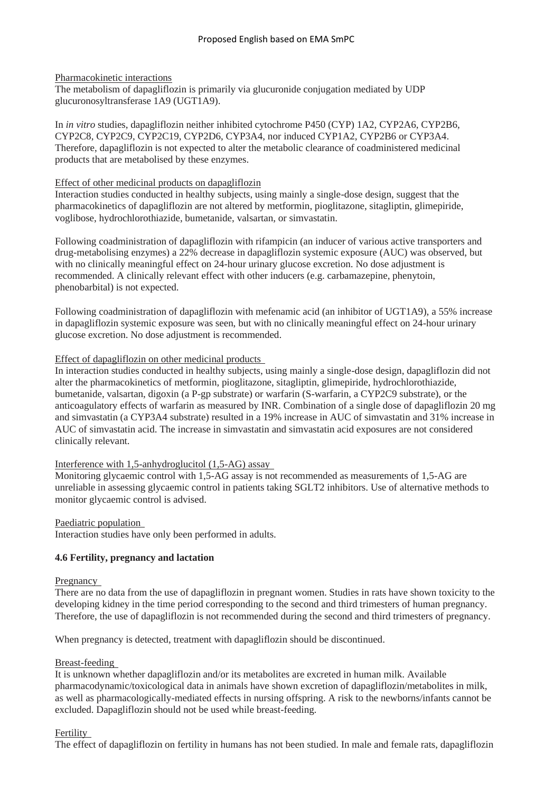Pharmacokinetic interactions

The metabolism of dapagliflozin is primarily via glucuronide conjugation mediated by UDP glucuronosyltransferase 1A9 (UGT1A9).

In *in vitro* studies, dapagliflozin neither inhibited cytochrome P450 (CYP) 1A2, CYP2A6, CYP2B6, CYP2C8, CYP2C9, CYP2C19, CYP2D6, CYP3A4, nor induced CYP1A2, CYP2B6 or CYP3A4. Therefore, dapagliflozin is not expected to alter the metabolic clearance of coadministered medicinal products that are metabolised by these enzymes.

#### Effect of other medicinal products on dapagliflozin

Interaction studies conducted in healthy subjects, using mainly a single-dose design, suggest that the pharmacokinetics of dapagliflozin are not altered by metformin, pioglitazone, sitagliptin, glimepiride, voglibose, hydrochlorothiazide, bumetanide, valsartan, or simvastatin.

Following coadministration of dapagliflozin with rifampicin (an inducer of various active transporters and drug-metabolising enzymes) a 22% decrease in dapagliflozin systemic exposure (AUC) was observed, but with no clinically meaningful effect on 24-hour urinary glucose excretion. No dose adjustment is recommended. A clinically relevant effect with other inducers (e.g. carbamazepine, phenytoin, phenobarbital) is not expected.

Following coadministration of dapagliflozin with mefenamic acid (an inhibitor of UGT1A9), a 55% increase in dapagliflozin systemic exposure was seen, but with no clinically meaningful effect on 24-hour urinary glucose excretion. No dose adjustment is recommended.

#### Effect of dapagliflozin on other medicinal products

In interaction studies conducted in healthy subjects, using mainly a single-dose design, dapagliflozin did not alter the pharmacokinetics of metformin, pioglitazone, sitagliptin, glimepiride, hydrochlorothiazide, bumetanide, valsartan, digoxin (a P-gp substrate) or warfarin (S-warfarin, a CYP2C9 substrate), or the anticoagulatory effects of warfarin as measured by INR. Combination of a single dose of dapagliflozin 20 mg and simvastatin (a CYP3A4 substrate) resulted in a 19% increase in AUC of simvastatin and 31% increase in AUC of simvastatin acid. The increase in simvastatin and simvastatin acid exposures are not considered clinically relevant.

#### Interference with 1,5-anhydroglucitol (1,5-AG) assay

Monitoring glycaemic control with 1,5-AG assay is not recommended as measurements of 1,5-AG are unreliable in assessing glycaemic control in patients taking SGLT2 inhibitors. Use of alternative methods to monitor glycaemic control is advised.

#### Paediatric population

Interaction studies have only been performed in adults.

#### **4.6 Fertility, pregnancy and lactation**

#### Pregnancy

There are no data from the use of dapagliflozin in pregnant women. Studies in rats have shown toxicity to the developing kidney in the time period corresponding to the second and third trimesters of human pregnancy. Therefore, the use of dapagliflozin is not recommended during the second and third trimesters of pregnancy.

When pregnancy is detected, treatment with dapagliflozin should be discontinued.

#### Breast-feeding

It is unknown whether dapagliflozin and/or its metabolites are excreted in human milk. Available pharmacodynamic/toxicological data in animals have shown excretion of dapagliflozin/metabolites in milk, as well as pharmacologically-mediated effects in nursing offspring. A risk to the newborns/infants cannot be excluded. Dapagliflozin should not be used while breast-feeding.

#### Fertility

The effect of dapagliflozin on fertility in humans has not been studied. In male and female rats, dapagliflozin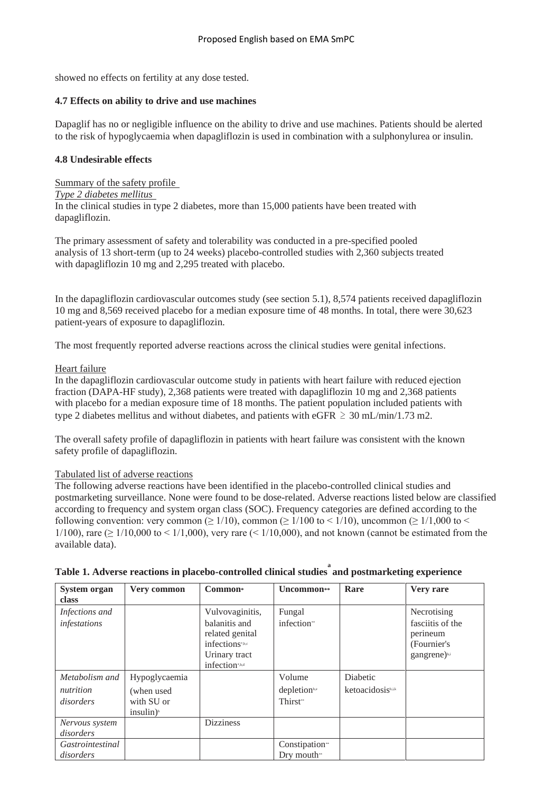showed no effects on fertility at any dose tested.

### **4.7 Effects on ability to drive and use machines**

Dapaglif has no or negligible influence on the ability to drive and use machines. Patients should be alerted to the risk of hypoglycaemia when dapagliflozin is used in combination with a sulphonylurea or insulin.

### **4.8 Undesirable effects**

Summary of the safety profile *Type 2 diabetes mellitus*  In the clinical studies in type 2 diabetes, more than 15,000 patients have been treated with dapagliflozin.

The primary assessment of safety and tolerability was conducted in a pre-specified pooled analysis of 13 short-term (up to 24 weeks) placebo-controlled studies with 2,360 subjects treated with dapagliflozin 10 mg and 2,295 treated with placebo.

In the dapagliflozin cardiovascular outcomes study (see section 5.1), 8,574 patients received dapagliflozin 10 mg and 8,569 received placebo for a median exposure time of 48 months. In total, there were 30,623 patient-years of exposure to dapagliflozin.

The most frequently reported adverse reactions across the clinical studies were genital infections.

### Heart failure

In the dapagliflozin cardiovascular outcome study in patients with heart failure with reduced ejection fraction (DAPA-HF study), 2,368 patients were treated with dapagliflozin 10 mg and 2,368 patients with placebo for a median exposure time of 18 months. The patient population included patients with type 2 diabetes mellitus and without diabetes, and patients with eGFR  $\geq$  30 mL/min/1.73 m2.

The overall safety profile of dapagliflozin in patients with heart failure was consistent with the known safety profile of dapagliflozin.

#### Tabulated list of adverse reactions

The following adverse reactions have been identified in the placebo-controlled clinical studies and postmarketing surveillance. None were found to be dose-related. Adverse reactions listed below are classified according to frequency and system organ class (SOC). Frequency categories are defined according to the following convention: very common ( $\geq 1/10$ ), common ( $\geq 1/100$  to  $\leq 1/10$ ), uncommon ( $\geq 1/1,000$  to  $\leq$ 1/100), rare ( $\geq 1/10,000$  to  $\leq 1/1,000$ ), very rare ( $\leq 1/10,000$ ), and not known (cannot be estimated from the available data).

| <b>System organ</b><br>class   | Very common   | Common <sup>*</sup>                                                                                       | Uncommon <sup>**</sup>           | Rare              | Very rare                                                                              |
|--------------------------------|---------------|-----------------------------------------------------------------------------------------------------------|----------------------------------|-------------------|----------------------------------------------------------------------------------------|
| Infections and<br>infestations |               | Vulvovaginitis,<br>balanitis and<br>related genital<br>infections*,b,c<br>Urinary tract<br>infection*,b,d | Fungal<br>infection <sup>*</sup> |                   | Necrotising<br>fasciitis of the<br>perineum<br>(Fournier's<br>gangrene) <sup>b,i</sup> |
| Metabolism and                 | Hypoglycaemia |                                                                                                           | Volume                           | Diabetic          |                                                                                        |
| nutrition                      | (when used    |                                                                                                           | depletionb,e                     | ketoacidosisb,i,k |                                                                                        |
| disorders                      | with SU or    |                                                                                                           | Thirst <sup>**</sup>             |                   |                                                                                        |
|                                | insulin)      |                                                                                                           |                                  |                   |                                                                                        |
| Nervous system                 |               | <b>Dizziness</b>                                                                                          |                                  |                   |                                                                                        |
| disorders                      |               |                                                                                                           |                                  |                   |                                                                                        |
| Gastrointestinal               |               |                                                                                                           | Constipation**                   |                   |                                                                                        |
| disorders                      |               |                                                                                                           | Dry mouth**                      |                   |                                                                                        |

| Table 1. Adverse reactions in placebo-controlled clinical studies and postmarketing experience |  |
|------------------------------------------------------------------------------------------------|--|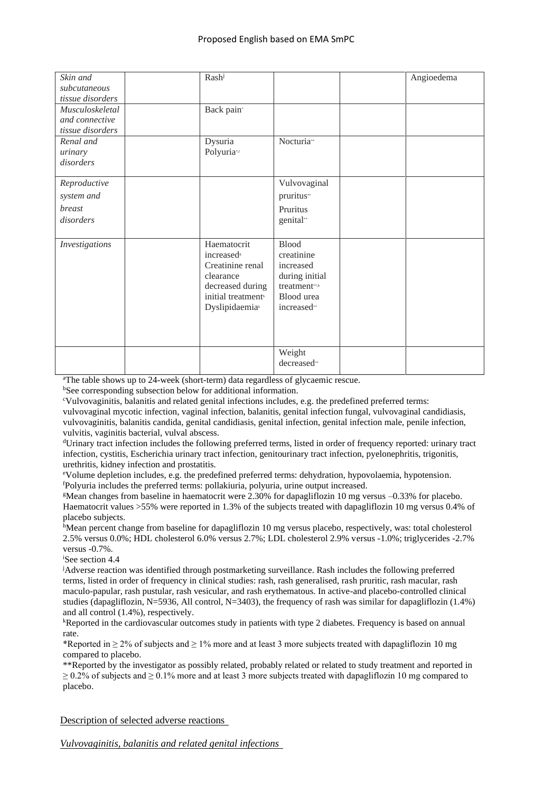| Skin and         | Rash <sup>j</sup>                 |                         | Angioedema |
|------------------|-----------------------------------|-------------------------|------------|
| subcutaneous     |                                   |                         |            |
| tissue disorders |                                   |                         |            |
| Musculoskeletal  | Back pain*                        |                         |            |
| and connective   |                                   |                         |            |
| tissue disorders |                                   |                         |            |
| Renal and        | Dysuria                           | Nocturia <sup>*</sup>   |            |
| urinary          | Polyuria*f                        |                         |            |
| disorders        |                                   |                         |            |
| Reproductive     |                                   | Vulvovaginal            |            |
| system and       |                                   | pruritus"               |            |
| breast           |                                   | Pruritus                |            |
| disorders        |                                   | genital*                |            |
|                  |                                   |                         |            |
| Investigations   | Haematocrit                       | <b>Blood</b>            |            |
|                  | increased <sup>s</sup>            | creatinine              |            |
|                  | Creatinine renal                  | increased               |            |
|                  | clearance                         | during initial          |            |
|                  | decreased during                  | treatment**,b           |            |
|                  | initial treatment <sup>b</sup>    | Blood urea              |            |
|                  | <b>Dyslipidaemia</b> <sup>h</sup> | increased**             |            |
|                  |                                   |                         |            |
|                  |                                   |                         |            |
|                  |                                   | Weight                  |            |
|                  |                                   | decreased <sup>**</sup> |            |

<sup>a</sup>The table shows up to 24-week (short-term) data regardless of glycaemic rescue.

bSee corresponding subsection below for additional information.

<sup>c</sup>Vulvovaginitis, balanitis and related genital infections includes, e.g. the predefined preferred terms: vulvovaginal mycotic infection, vaginal infection, balanitis, genital infection fungal, vulvovaginal candidiasis, vulvovaginitis, balanitis candida, genital candidiasis, genital infection, genital infection male, penile infection, vulvitis, vaginitis bacterial, vulval abscess.

<sup>d</sup>Urinary tract infection includes the following preferred terms, listed in order of frequency reported: urinary tract infection, cystitis, Escherichia urinary tract infection, genitourinary tract infection, pyelonephritis, trigonitis, urethritis, kidney infection and prostatitis.

<sup>e</sup>Volume depletion includes, e.g. the predefined preferred terms: dehydration, hypovolaemia, hypotension. <sup>f</sup>Polyuria includes the preferred terms: pollakiuria, polyuria, urine output increased.

<sup>g</sup>Mean changes from baseline in haematocrit were 2.30% for dapagliflozin 10 mg versus –0.33% for placebo. Haematocrit values >55% were reported in 1.3% of the subjects treated with dapagliflozin 10 mg versus 0.4% of placebo subjects.

hMean percent change from baseline for dapagliflozin 10 mg versus placebo, respectively, was: total cholesterol 2.5% versus 0.0%; HDL cholesterol 6.0% versus 2.7%; LDL cholesterol 2.9% versus -1.0%; triglycerides -2.7% versus -0.7%.

<sup>i</sup>See section 4.4

<sup>j</sup>Adverse reaction was identified through postmarketing surveillance. Rash includes the following preferred terms, listed in order of frequency in clinical studies: rash, rash generalised, rash pruritic, rash macular, rash maculo-papular, rash pustular, rash vesicular, and rash erythematous. In active-and placebo-controlled clinical studies (dapagliflozin, N=5936, All control, N=3403), the frequency of rash was similar for dapagliflozin (1.4%) and all control (1.4%), respectively.

<sup>k</sup>Reported in the cardiovascular outcomes study in patients with type 2 diabetes. Frequency is based on annual rate.

\*Reported in  $\geq 2\%$  of subjects and  $\geq 1\%$  more and at least 3 more subjects treated with dapagliflozin 10 mg compared to placebo.

\*\*Reported by the investigator as possibly related, probably related or related to study treatment and reported in  $\geq$  0.2% of subjects and  $\geq$  0.1% more and at least 3 more subjects treated with dapagliflozin 10 mg compared to placebo.

Description of selected adverse reactions

*Vulvovaginitis, balanitis and related genital infections*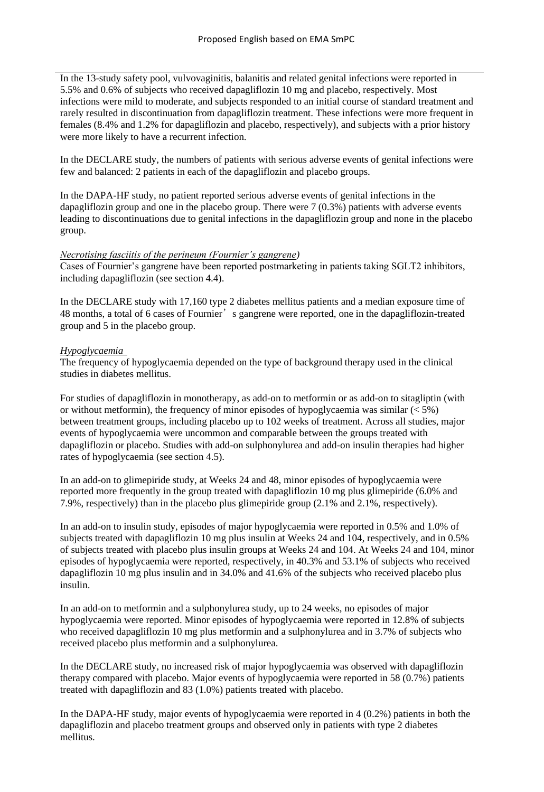In the 13-study safety pool, vulvovaginitis, balanitis and related genital infections were reported in 5.5% and 0.6% of subjects who received dapagliflozin 10 mg and placebo, respectively. Most infections were mild to moderate, and subjects responded to an initial course of standard treatment and rarely resulted in discontinuation from dapagliflozin treatment. These infections were more frequent in females (8.4% and 1.2% for dapagliflozin and placebo, respectively), and subjects with a prior history were more likely to have a recurrent infection.

In the DECLARE study, the numbers of patients with serious adverse events of genital infections were few and balanced: 2 patients in each of the dapagliflozin and placebo groups.

In the DAPA-HF study, no patient reported serious adverse events of genital infections in the dapagliflozin group and one in the placebo group. There were 7 (0.3%) patients with adverse events leading to discontinuations due to genital infections in the dapagliflozin group and none in the placebo group.

#### *Necrotising fasciitis of the perineum (Fournier's gangrene)*

Cases of Fournier's gangrene have been reported postmarketing in patients taking SGLT2 inhibitors, including dapagliflozin (see section 4.4).

In the DECLARE study with 17,160 type 2 diabetes mellitus patients and a median exposure time of 48 months, a total of 6 cases of Fournier's gangrene were reported, one in the dapagliflozin-treated group and 5 in the placebo group.

#### *Hypoglycaemia*

The frequency of hypoglycaemia depended on the type of background therapy used in the clinical studies in diabetes mellitus.

For studies of dapagliflozin in monotherapy, as add-on to metformin or as add-on to sitagliptin (with or without metformin), the frequency of minor episodes of hypoglycaemia was similar  $(< 5\%)$ between treatment groups, including placebo up to 102 weeks of treatment. Across all studies, major events of hypoglycaemia were uncommon and comparable between the groups treated with dapagliflozin or placebo. Studies with add-on sulphonylurea and add-on insulin therapies had higher rates of hypoglycaemia (see section 4.5).

In an add-on to glimepiride study, at Weeks 24 and 48, minor episodes of hypoglycaemia were reported more frequently in the group treated with dapagliflozin 10 mg plus glimepiride (6.0% and 7.9%, respectively) than in the placebo plus glimepiride group (2.1% and 2.1%, respectively).

In an add-on to insulin study, episodes of major hypoglycaemia were reported in 0.5% and 1.0% of subjects treated with dapagliflozin 10 mg plus insulin at Weeks 24 and 104, respectively, and in 0.5% of subjects treated with placebo plus insulin groups at Weeks 24 and 104. At Weeks 24 and 104, minor episodes of hypoglycaemia were reported, respectively, in 40.3% and 53.1% of subjects who received dapagliflozin 10 mg plus insulin and in 34.0% and 41.6% of the subjects who received placebo plus insulin.

In an add-on to metformin and a sulphonylurea study, up to 24 weeks, no episodes of major hypoglycaemia were reported. Minor episodes of hypoglycaemia were reported in 12.8% of subjects who received dapagliflozin 10 mg plus metformin and a sulphonylurea and in 3.7% of subjects who received placebo plus metformin and a sulphonylurea.

In the DECLARE study, no increased risk of major hypoglycaemia was observed with dapagliflozin therapy compared with placebo. Major events of hypoglycaemia were reported in 58 (0.7%) patients treated with dapagliflozin and 83 (1.0%) patients treated with placebo.

In the DAPA-HF study, major events of hypoglycaemia were reported in 4 (0.2%) patients in both the dapagliflozin and placebo treatment groups and observed only in patients with type 2 diabetes mellitus.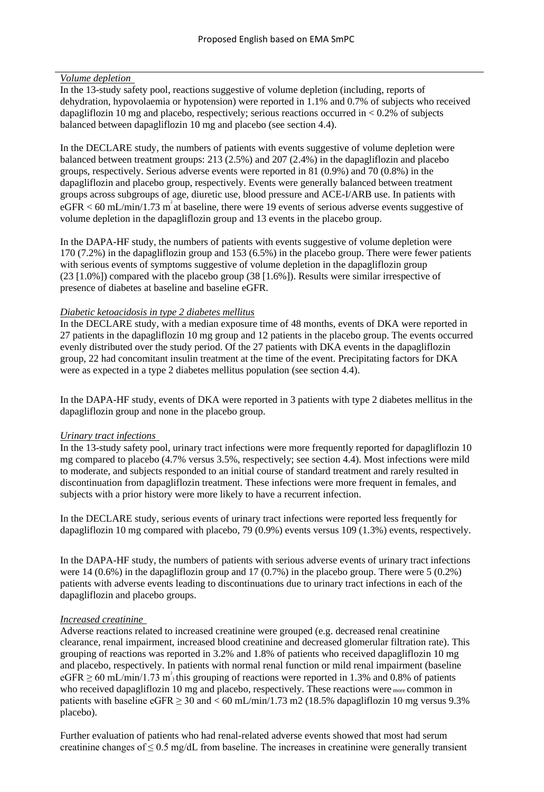#### *Volume depletion*

In the 13-study safety pool, reactions suggestive of volume depletion (including, reports of dehydration, hypovolaemia or hypotension) were reported in 1.1% and 0.7% of subjects who received dapagliflozin 10 mg and placebo, respectively; serious reactions occurred in  $< 0.2\%$  of subjects balanced between dapagliflozin 10 mg and placebo (see section 4.4).

In the DECLARE study, the numbers of patients with events suggestive of volume depletion were balanced between treatment groups: 213 (2.5%) and 207 (2.4%) in the dapagliflozin and placebo groups, respectively. Serious adverse events were reported in 81 (0.9%) and 70 (0.8%) in the dapagliflozin and placebo group, respectively. Events were generally balanced between treatment groups across subgroups of age, diuretic use, blood pressure and ACE-I/ARB use. In patients with  $eGFR < 60$  mL/min/1.73 m<sup>2</sup> at baseline, there were 19 events of serious adverse events suggestive of volume depletion in the dapagliflozin group and 13 events in the placebo group.

In the DAPA-HF study, the numbers of patients with events suggestive of volume depletion were 170 (7.2%) in the dapagliflozin group and 153 (6.5%) in the placebo group. There were fewer patients with serious events of symptoms suggestive of volume depletion in the dapagliflozin group (23 [1.0%]) compared with the placebo group (38 [1.6%]). Results were similar irrespective of presence of diabetes at baseline and baseline eGFR.

#### *Diabetic ketoacidosis in type 2 diabetes mellitus*

In the DECLARE study, with a median exposure time of 48 months, events of DKA were reported in 27 patients in the dapagliflozin 10 mg group and 12 patients in the placebo group. The events occurred evenly distributed over the study period. Of the 27 patients with DKA events in the dapagliflozin group, 22 had concomitant insulin treatment at the time of the event. Precipitating factors for DKA were as expected in a type 2 diabetes mellitus population (see section 4.4).

In the DAPA-HF study, events of DKA were reported in 3 patients with type 2 diabetes mellitus in the dapagliflozin group and none in the placebo group.

#### *Urinary tract infections*

In the 13-study safety pool, urinary tract infections were more frequently reported for dapagliflozin 10 mg compared to placebo (4.7% versus 3.5%, respectively; see section 4.4). Most infections were mild to moderate, and subjects responded to an initial course of standard treatment and rarely resulted in discontinuation from dapagliflozin treatment. These infections were more frequent in females, and subjects with a prior history were more likely to have a recurrent infection.

In the DECLARE study, serious events of urinary tract infections were reported less frequently for dapagliflozin 10 mg compared with placebo, 79 (0.9%) events versus 109 (1.3%) events, respectively.

In the DAPA-HF study, the numbers of patients with serious adverse events of urinary tract infections were 14 (0.6%) in the dapagliflozin group and 17 (0.7%) in the placebo group. There were 5 (0.2%) patients with adverse events leading to discontinuations due to urinary tract infections in each of the dapagliflozin and placebo groups.

#### *Increased creatinine*

Adverse reactions related to increased creatinine were grouped (e.g. decreased renal creatinine clearance, renal impairment, increased blood creatinine and decreased glomerular filtration rate). This grouping of reactions was reported in 3.2% and 1.8% of patients who received dapagliflozin 10 mg and placebo, respectively. In patients with normal renal function or mild renal impairment (baseline eGFR  $\geq$  60 mL/min/1.73 m<sup>2</sup>, this grouping of reactions were reported in 1.3% and 0.8% of patients who received dapagliflozin 10 mg and placebo, respectively. These reactions were <sub>more</sub> common in patients with baseline  $eGFR \ge 30$  and  $< 60$  mL/min/1.73 m2 (18.5% dapagliflozin 10 mg versus 9.3%) placebo).

Further evaluation of patients who had renal-related adverse events showed that most had serum creatinine changes of  $\leq 0.5$  mg/dL from baseline. The increases in creatinine were generally transient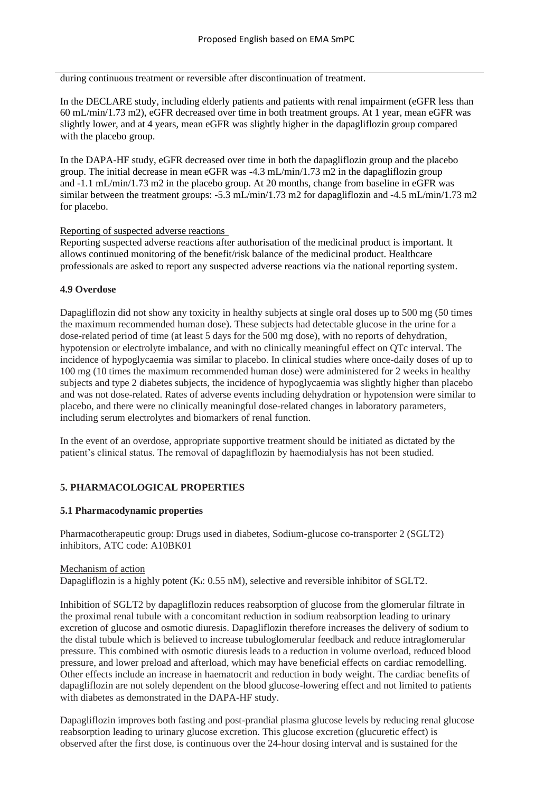during continuous treatment or reversible after discontinuation of treatment.

In the DECLARE study, including elderly patients and patients with renal impairment (eGFR less than 60 mL/min/1.73 m2), eGFR decreased over time in both treatment groups. At 1 year, mean eGFR was slightly lower, and at 4 years, mean eGFR was slightly higher in the dapagliflozin group compared with the placebo group.

In the DAPA-HF study, eGFR decreased over time in both the dapagliflozin group and the placebo group. The initial decrease in mean eGFR was -4.3 mL/min/1.73 m2 in the dapagliflozin group and -1.1 mL/min/1.73 m2 in the placebo group. At 20 months, change from baseline in eGFR was similar between the treatment groups: -5.3 mL/min/1.73 m2 for dapagliflozin and -4.5 mL/min/1.73 m2 for placebo.

#### Reporting of suspected adverse reactions

Reporting suspected adverse reactions after authorisation of the medicinal product is important. It allows continued monitoring of the benefit/risk balance of the medicinal product. Healthcare professionals are asked to report any suspected adverse reactions via the national reporting system.

#### **4.9 Overdose**

Dapagliflozin did not show any toxicity in healthy subjects at single oral doses up to 500 mg (50 times the maximum recommended human dose). These subjects had detectable glucose in the urine for a dose-related period of time (at least 5 days for the 500 mg dose), with no reports of dehydration, hypotension or electrolyte imbalance, and with no clinically meaningful effect on QTc interval. The incidence of hypoglycaemia was similar to placebo. In clinical studies where once-daily doses of up to 100 mg (10 times the maximum recommended human dose) were administered for 2 weeks in healthy subjects and type 2 diabetes subjects, the incidence of hypoglycaemia was slightly higher than placebo and was not dose-related. Rates of adverse events including dehydration or hypotension were similar to placebo, and there were no clinically meaningful dose-related changes in laboratory parameters, including serum electrolytes and biomarkers of renal function.

In the event of an overdose, appropriate supportive treatment should be initiated as dictated by the patient's clinical status. The removal of dapagliflozin by haemodialysis has not been studied.

#### **5. PHARMACOLOGICAL PROPERTIES**

#### **5.1 Pharmacodynamic properties**

Pharmacotherapeutic group: Drugs used in diabetes, Sodium-glucose co-transporter 2 (SGLT2) inhibitors, ATC code: A10BK01

#### Mechanism of action

Dapagliflozin is a highly potent (K<sub>i</sub>: 0.55 nM), selective and reversible inhibitor of SGLT2.

Inhibition of SGLT2 by dapagliflozin reduces reabsorption of glucose from the glomerular filtrate in the proximal renal tubule with a concomitant reduction in sodium reabsorption leading to urinary excretion of glucose and osmotic diuresis. Dapagliflozin therefore increases the delivery of sodium to the distal tubule which is believed to increase tubuloglomerular feedback and reduce intraglomerular pressure. This combined with osmotic diuresis leads to a reduction in volume overload, reduced blood pressure, and lower preload and afterload, which may have beneficial effects on cardiac remodelling. Other effects include an increase in haematocrit and reduction in body weight. The cardiac benefits of dapagliflozin are not solely dependent on the blood glucose-lowering effect and not limited to patients with diabetes as demonstrated in the DAPA-HF study.

Dapagliflozin improves both fasting and post-prandial plasma glucose levels by reducing renal glucose reabsorption leading to urinary glucose excretion. This glucose excretion (glucuretic effect) is observed after the first dose, is continuous over the 24-hour dosing interval and is sustained for the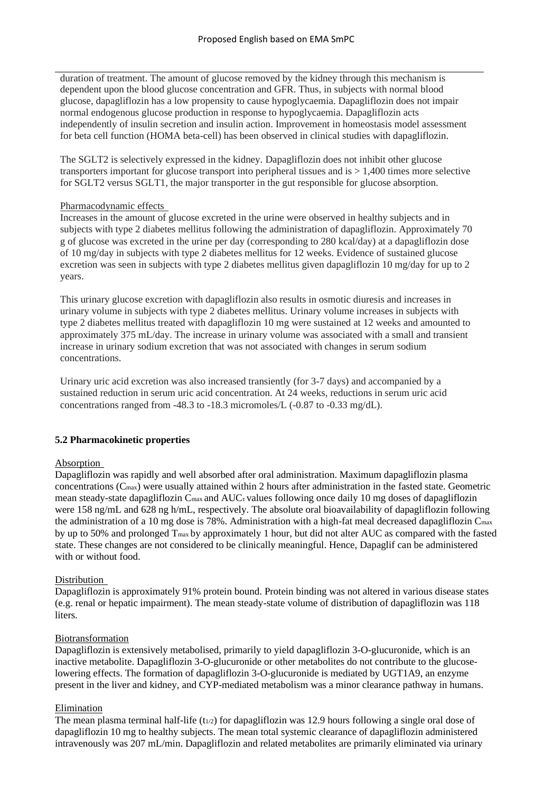duration of treatment. The amount of glucose removed by the kidney through this mechanism is dependent upon the blood glucose concentration and GFR. Thus, in subjects with normal blood glucose, dapagliflozin has a low propensity to cause hypoglycaemia. Dapagliflozin does not impair normal endogenous glucose production in response to hypoglycaemia. Dapagliflozin acts independently of insulin secretion and insulin action. Improvement in homeostasis model assessment for beta cell function (HOMA beta-cell) has been observed in clinical studies with dapagliflozin.

The SGLT2 is selectively expressed in the kidney. Dapagliflozin does not inhibit other glucose transporters important for glucose transport into peripheral tissues and is > 1,400 times more selective for SGLT2 versus SGLT1, the major transporter in the gut responsible for glucose absorption.

#### Pharmacodynamic effects

Increases in the amount of glucose excreted in the urine were observed in healthy subjects and in subjects with type 2 diabetes mellitus following the administration of dapagliflozin. Approximately 70 g of glucose was excreted in the urine per day (corresponding to 280 kcal/day) at a dapagliflozin dose of 10 mg/day in subjects with type 2 diabetes mellitus for 12 weeks. Evidence of sustained glucose excretion was seen in subjects with type 2 diabetes mellitus given dapagliflozin 10 mg/day for up to 2 years.

This urinary glucose excretion with dapagliflozin also results in osmotic diuresis and increases in urinary volume in subjects with type 2 diabetes mellitus. Urinary volume increases in subjects with type 2 diabetes mellitus treated with dapagliflozin 10 mg were sustained at 12 weeks and amounted to approximately 375 mL/day. The increase in urinary volume was associated with a small and transient increase in urinary sodium excretion that was not associated with changes in serum sodium concentrations.

Urinary uric acid excretion was also increased transiently (for 3-7 days) and accompanied by a sustained reduction in serum uric acid concentration. At 24 weeks, reductions in serum uric acid concentrations ranged from -48.3 to -18.3 micromoles/L (-0.87 to -0.33 mg/dL).

#### **5.2 Pharmacokinetic properties**

#### Absorption

Dapagliflozin was rapidly and well absorbed after oral administration. Maximum dapagliflozin plasma concentrations (Cmax) were usually attained within 2 hours after administration in the fasted state. Geometric mean steady-state dapagliflozin C<sub>max</sub> and AUCτ values following once daily 10 mg doses of dapagliflozin were 158 ng/mL and 628 ng h/mL, respectively. The absolute oral bioavailability of dapagliflozin following the administration of a 10 mg dose is 78%. Administration with a high-fat meal decreased dapagliflozin Cmax by up to 50% and prolonged Tmax by approximately 1 hour, but did not alter AUC as compared with the fasted state. These changes are not considered to be clinically meaningful. Hence, Dapaglif can be administered with or without food.

#### Distribution

Dapagliflozin is approximately 91% protein bound. Protein binding was not altered in various disease states (e.g. renal or hepatic impairment). The mean steady-state volume of distribution of dapagliflozin was 118 liters.

#### Biotransformation

Dapagliflozin is extensively metabolised, primarily to yield dapagliflozin 3-O-glucuronide, which is an inactive metabolite. Dapagliflozin 3-O-glucuronide or other metabolites do not contribute to the glucoselowering effects. The formation of dapagliflozin 3-O-glucuronide is mediated by UGT1A9, an enzyme present in the liver and kidney, and CYP-mediated metabolism was a minor clearance pathway in humans.

#### Elimination

The mean plasma terminal half-life (t<sub>1/2</sub>) for dapagliflozin was 12.9 hours following a single oral dose of dapagliflozin 10 mg to healthy subjects. The mean total systemic clearance of dapagliflozin administered intravenously was 207 mL/min. Dapagliflozin and related metabolites are primarily eliminated via urinary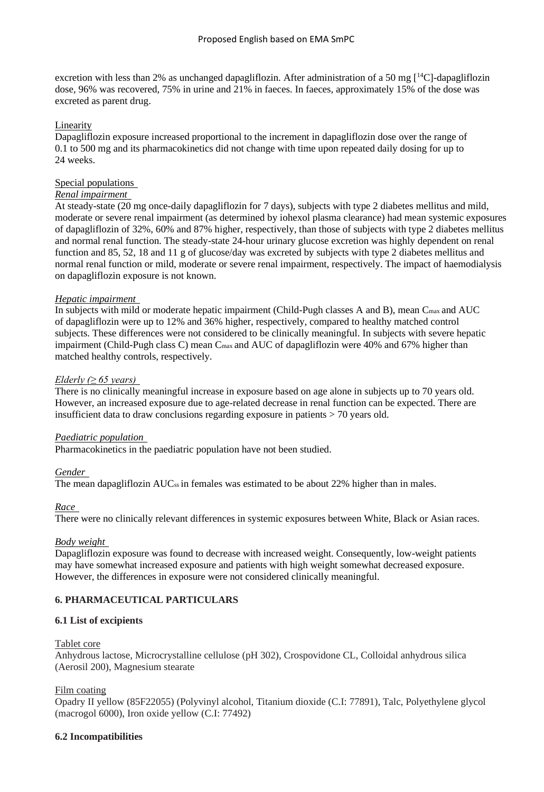excretion with less than 2% as unchanged dapagliflozin. After administration of a 50 mg  $\lceil {^{14}C} \rceil$ -dapagliflozin dose, 96% was recovered, 75% in urine and 21% in faeces. In faeces, approximately 15% of the dose was excreted as parent drug.

#### Linearity

Dapagliflozin exposure increased proportional to the increment in dapagliflozin dose over the range of 0.1 to 500 mg and its pharmacokinetics did not change with time upon repeated daily dosing for up to 24 weeks.

#### Special populations

#### *Renal impairment*

At steady-state (20 mg once-daily dapagliflozin for 7 days), subjects with type 2 diabetes mellitus and mild, moderate or severe renal impairment (as determined by iohexol plasma clearance) had mean systemic exposures of dapagliflozin of 32%, 60% and 87% higher, respectively, than those of subjects with type 2 diabetes mellitus and normal renal function. The steady-state 24-hour urinary glucose excretion was highly dependent on renal function and 85, 52, 18 and 11 g of glucose/day was excreted by subjects with type 2 diabetes mellitus and normal renal function or mild, moderate or severe renal impairment, respectively. The impact of haemodialysis on dapagliflozin exposure is not known.

#### *Hepatic impairment*

In subjects with mild or moderate hepatic impairment (Child-Pugh classes A and B), mean C<sub>max</sub> and AUC of dapagliflozin were up to 12% and 36% higher, respectively, compared to healthy matched control subjects. These differences were not considered to be clinically meaningful. In subjects with severe hepatic impairment (Child-Pugh class C) mean C<sub>max</sub> and AUC of dapagliflozin were 40% and 67% higher than matched healthy controls, respectively.

#### *Elderly (≥ 65 years)*

There is no clinically meaningful increase in exposure based on age alone in subjects up to 70 years old. However, an increased exposure due to age-related decrease in renal function can be expected. There are insufficient data to draw conclusions regarding exposure in patients > 70 years old.

#### *Paediatric population*

Pharmacokinetics in the paediatric population have not been studied.

#### *Gender*

The mean dapagliflozin AUC<sub>ss</sub> in females was estimated to be about 22% higher than in males.

#### *Race*

There were no clinically relevant differences in systemic exposures between White, Black or Asian races.

#### *Body weight*

Dapagliflozin exposure was found to decrease with increased weight. Consequently, low-weight patients may have somewhat increased exposure and patients with high weight somewhat decreased exposure. However, the differences in exposure were not considered clinically meaningful.

#### **6. PHARMACEUTICAL PARTICULARS**

#### **6.1 List of excipients**

#### Tablet core

Anhydrous lactose, Microcrystalline cellulose (pH 302), Crospovidone CL, Colloidal anhydrous silica (Aerosil 200), Magnesium stearate

#### Film coating

Opadry II yellow (85F22055) (Polyvinyl alcohol, Titanium dioxide (C.I: 77891), Talc, Polyethylene glycol (macrogol 6000), Iron oxide yellow (C.I: 77492)

#### **6.2 Incompatibilities**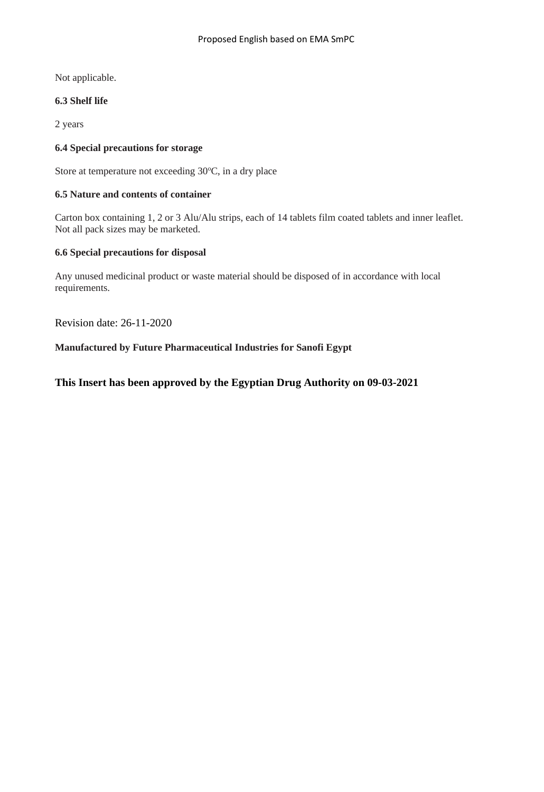Not applicable.

## **6.3 Shelf life**

2 years

### **6.4 Special precautions for storage**

Store at temperature not exceeding 30°C, in a dry place

## **6.5 Nature and contents of container**

Carton box containing 1, 2 or 3 Alu/Alu strips, each of 14 tablets film coated tablets and inner leaflet. Not all pack sizes may be marketed.

### **6.6 Special precautions for disposal**

Any unused medicinal product or waste material should be disposed of in accordance with local requirements.

Revision date: 26-11-2020

**Manufactured by Future Pharmaceutical Industries for Sanofi Egypt**

## **This Insert has been approved by the Egyptian Drug Authority on 09-03-2021**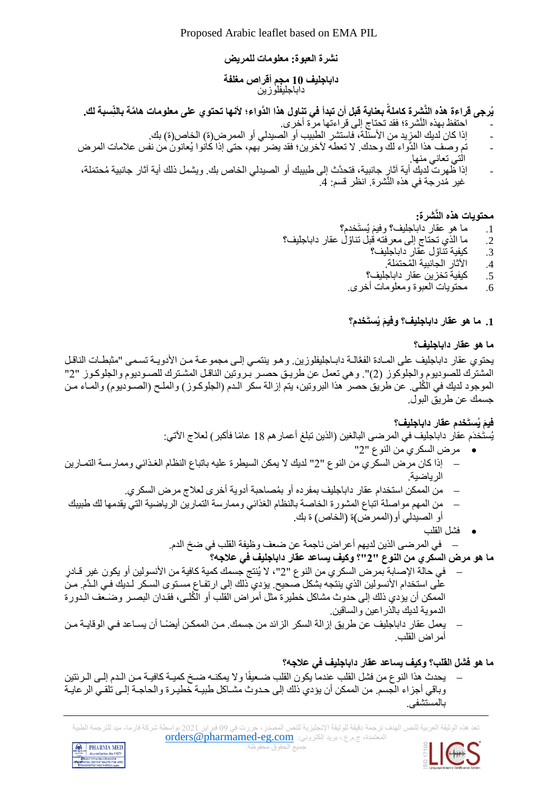Proposed Arabic leaflet based on EMA PIL

## **نشرة العبوة : معلومات للمريض**

### **داباجليف 10 مجم أقراص مغلفة** داباجليفلوزين

#### يُرجى قراءة هذه النَّشِرة كاملة بعناية قبل أن تبدأ في تناول هذا الدّواء؛ لأنها تحتوي على معلومات هامَّة بالنِّسبة لك **ً**

- احتفظ بهذه النَّشرة؛ فقد تحتاج إلى قراءتها مرة أخرى.
- إذا كان لديك المزيد من الأسنّلة، فاستشر الطبيب أو الصيدلي أو الممر ض(ة) الخاص(ة) بك.
- تم وصف هذا الدَّواء لك وحدك. ال تعطه آلخرين؛ فقد يضر بهم، حتى إذا كانوا يُعانون من نفس عالمات المرض التي تعاني منها.
- إذا ظهرت لديك أية آثارٍ جانبية، فتحدَّث إلى طبيبك أو الصيدلي الخاص بك. ويشمل ذلك أية آثار جانبية مُحتمَلة، غير مُدرجة في هذه النَّشرة. انظر قسم: 4.

## **محتويات هذه النَّشرة:**

- 1. ما هو عقار داباجليف؟ وفيمَ يُستَخدم؟<br>-
- 2. ما الذي تحتاج إلى معرفته قبل تناؤل عقار داباجليف؟
	- ُول عقار داباجليف؟ .3 كيفية تنا
		- 4. الآثار الجانبية المُحتمَلة.
	- .5 كيفية تخزين عقار داباجليف؟
	- .6 محتويات العبوة ومعلومات أخرى.

## **َم يُستَخدم؟ .1 ما هو عقار داباجليف؟ وفي**

## **ما هو عقار داباجليف؟**

يحتوي عقار داباجليف على المـادة الفعَّالـة دابـاجليفلوزين. وهـو ينتمـى إلـى مجموعـة مـن الأدويـة تسمى "مثبطـات الناقـل المشترك للصوديوم والجلوكوز (2)". وهي تعمل عن طريق حصـر بـروتين الناقـل المشـترك للصـوديوم والجلوكـوز "2" الموجود لديك في الكُلَّى. عن طريق حصر هذا البروتين، يتم إزالة سكر الـدم (الجلوكـوز) والملـح (الصـوديوم) والمـاء مـن جسمك عن طريح البول.

# **َم يُستَخدم عقار في داباجليف؟**

## يُستَخدَم عقار داباجليف في المرضى البالغين (الذين تبلغ أعمار هم 18 عامًا فأكبر ) لعلاج الآتي:

- مرض السكري من النوع "2"
- − إذا كان مرض السكري من النوع "2" لديك ال يمكن السيطرة عليه باتباع النظام الغاذا ي وممارساة التماارين الرياضية.
	- − من الممكن استخدام عقار داباجليف بمفرده أو ب ُمصاحبة أدوية أخرى لعالج مرض السكري.
- من المهم مواصلة اتباع المشورة الخاصة بالنظام الغذائي وممارسة التمارين الرياضية التي يقدمها لك طبيبك أو الصيدلي أو)الممرض)ة (الخاص) ة بك.
	- فشل القلب

− في المرضى الذين لديهم أعراض ناجمة عن ضعف وظيفة القلب في ضخ الدم.

**ما هو مرض السكري من النوع "2"؟ وكيف يساعد عقار داباجليف في عالجه؟**

- − في حالة اإلصابة بمرض السكري من النوع "2"، ال يُنتج جسمك كمية كافية من األنسولين أو يكون غير قااد ر على استخدام الأنسولين الذي ينتجه بشكل صحيح. يؤدي ذلك إلى ارتفـاع مسـتوى السـكر لـديك فـي الـدَّم. مـن الممكن أن يؤدي ذلك إلى حدوث مشاكل خطيرة مثل أمراض القلب أو الكُلـى، فقدان البصـر وضَـعف الـدورة الدموية لديك بالذراعين والساقين.
- − يعمل عقار داباجليف عن طريق إزالة السكر الزائد من جسمك. مـن الممكـن أيضـًـا أن يسـاعد فـي الوقايــة مـن أمراض القلب.

## **ما هو فشل القلب؟ وكيف يساعد عقار داباجليف في عالجه؟**

يحدث هذا النوع من فشل القلب عندما يكون القلب ضـعيفًا ولا يمكنـه ضـخ كميـة كافيـة مـن الـدم إلـى الـرئتين وباقي أجزاء الجسم. من الممكن أن يؤدي ذلك إلى حدوث مشـاكل طبيـة خطيـرة والحاجـة إلـى تلقـى الرعايـة بالمستشفى.

تعد هذه الوثيقة العربية للنص الهدف ترجمة دقيقة للوثيقة اإلنجليزية للنص المصدر، حررت في 09 فبراير 2021 بواسطة شركة فارما- ميد للترجمة الطبية المعتمدة، ج.م.ع، بريد إلكتروني: orders@pharmamed-eg.com



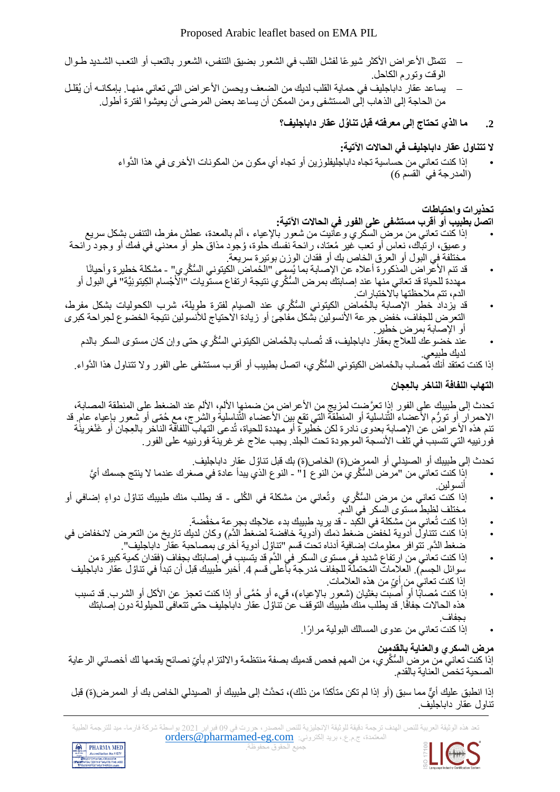- تتمثل الأعراض الأكثر شيوعًا لفشل القلب في الشعور بضيق التنفس، الشعور بالتعب أو التعب الشديد طـوال الوقت وتورم الكاحل.
- يساعد عقار داباجليف في حماية القلب لديك من الضعف ويحسن الأعراض التي تعاني منهـا. بإمكانــه أن يُقلـل من الحاجة إلى الذهاب إلى المستشفى ومن الممكن أن يساعد بعض المرضى أن يعيشوا لفترة أطول.
	- **.2 ما الذي تحتاج إلى معرفته قبل تنا ُول عقار داباجليف؟**

**ال تتناول عقار داباجليف في الحاالت اآلتية:** 

إذا كنت تعاني من حساسية تجاه داباجليفلوزين أو تجاه أي مكون من المكونات الأخرى في هذا الدَّواء )المدرجة في القسم 6(

## **تحذيرات واحتياطات**

## **اتصل بطبيب أو أقرب مستشفى على الفور في الحاالت اآلتية:**

- إذا كنت تعاني من مرض السكري وعانيت من شعور باإلعياء ، ألم بالمعدة، عطش مفرط، التنفس بشكل سريع وعميق، ارتباك، نعاس أو تعب غير مُعتاد، رائحة نفسك حلوة، وُجود مذاق حلو أو معدني في فمك أو وجود رائحة مختلفة في البول أو العرق الخاص بك أو فقدان الوزن بوتيرة س ريعة.
- قد تنم األعراض المذكورة أعاله عن اإلصابة بما يُسمى "ال ُحماض الكيتوني ال ُّس َّكِري" مشكلة خطيرة وأحيانًا مهددة للحياة قد تعاني منها عند إصابتك بمرض السُّكَّري نتيجة ارتفاع مستويات "الْأَجْسام الكِبتونِيَّة" في البول أو الدم، تتم ملاحظتها بالاختبار ات.
- قد يزداد خطر اإلصابة بال ُحماض الكيتوني ال ُّس َّكِري عند الصيام لفترة طويلة، شرب الكحوليات بشكل مفرط، التعرض للجفاف، خفض جر عة الأنسولين بشكل مفاجئ أو زيادة الاحتياج للأنسولين نتيجة الخضوع لجراحة كبرى أو اإلصابة بمرض خطير.
	- عند خضو عك للعلاج بعقار داباجليف، قد تُصاب بالْحُماض الكيتوني السُّكِّري حتى وإن كان مستوى السكر بالدم لديك طبيعي.
	- إذا كنت تعتقد أنك مُصـاب بالحُماض الكيتوني السُّكَّري، اتصل بطبيب أو أقرب مستشفى على الفور ولا تتناول هذا الدَّواء.

## **التهاب اللفافة الناخر بالِّعجان**

تحدث إلى طبيبك على الفور إذا تعرَّضت لمزيج من الأعراض من ضمنها الألم، الألم عند الضغط على المنطقة المصابة، الاحمرار أو تورُّم الأعضاء التَّناسلية أو المنطَّقة التي تقع بين الأعضاء التَّناسلية والشرج، مع حُمّى أو شعور بإعياء عام. قد تنم هذه الأعراض عن الإصابة بعدوى نادرة لكن خطيرة أو مهددة للحياة، تُدعى التهاب اللفافة الناخر بالعِجان أو عَنْغرينَة فورنييه التي تتسبب في تلف الأنسجة الموجودة تحت الجلد. يجب علاج غر غرينة فورنييه على الفور .

تحدث إلى طبيبك أو الصيدلي أو الممرٍ ض(ة) الخاص(ة) بك قبل تناوُل عقار داباجليف.

- إذا كنت تعاني من "مرض السُّكَّرِ ي من النوع 1" النوع الذي يبدأ عادة في صغرك عندما لا ينتج جسمك أيَّ أنسولين.
- إذا كنت تعاني من مرض السُّكَرِي وتُعاني من مشكلة في الكُلى قد يطلب منك طبيبك تناوُل دواءٍ إضافي أو مختلف لظبط مستوى السكر في الدم.
	- إذا كنت تُعاني من مشكلة في الكبد قد يريد طبيبك بدء عالجك بجرعة مخفَّضة.
- إذا كنت تتناول أدوية لخفض ضغط دَمك )أدوية خافضة لضغط ا لدَّم( وكان لديك تاريخ من التعرض النخفاض في ضغط الدَّم. تتوافر معلومات إضافية أدناه تحت قسم "تناوُل أدوية أخرى بمصاحبة عقار داباجليف".
- إذا كنت تعاني من ارتفاع شديد في مستوى السكر في الدَّم قد يتسبب في إصـابتك بجفاف (فقدان كمية كبير ة من سوائل الجسم). العلإمات المُحتملة للجفاف مُدرجة بأعلى قسم 4. أخبر طبيبك قبل أن تبدأ في تناوُل عقار داباجليف إذا كنت تعاني من أيِّ من هذه العلامات.
- إذا كنت مُصابًا أو أصبت بغثيان (شعور بالإعياء)، قيء أو حُمَّى أو إذا كنت تعجز عن الأكل أو الشرب. قد تسبب ا<br>ا هذه الحالات جفافًا. قد يطلب منك طبيبك التوقف عن تناوُل عقار داباجليف حتى تتعافى للحيلولة دون إصبابتك بجفاف.
	- إذا كنت تعاني من عدوى المسالك البولية مرا ًرا.

## **مرض السكري والعناية بالقدمين**

إذا كنت تعاني من مرض السُّكَّر ي، من المهم فحص قدميك بصفة منتظمة والالتزام بأيّ نصـائح يقدمها لك أخصـائي الر عاية الصحية تخص العناية بالقدم.

إذا انطبق عليك أيٍّ مما سبق (أو إذا لم تكن متأكدًا من ذلك)، تحدَّث إلى طبيبك أو الصيدلي الخاص بك أو الممر ض(ة) قبل تناول عقار داباجليف.

ه الوثيقة العربية للنص الهدف ترجمة دقيقة للوثيقة الإنجليزية للنص المصدر ، حررت في 09 فبراير 2021 بواسطة شركة فارما- ميد للترجمة الطبية المعتمدة، ج.م.ع.، بريد إلكتروني: orders@pharmamed-eg.com



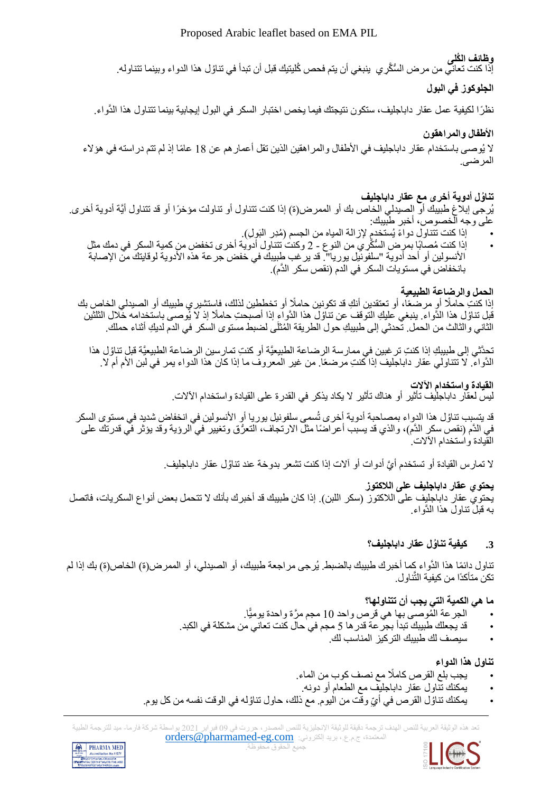## Proposed Arabic leaflet based on EMA PIL

## **وظائف الكُلى**

إذا كنت تعاني من مر ض السُّكّر ي ينبغي أن يتم فحص كُليتيك قبل أن تبدأ في تناوُل هذا الدواء وبينما تتناوله.

## **الجلوكوز في البول**

نظرًا لكيفية عمل عقار داباجليف، ستكون نتيجتك فيما يخص اختبار السكر في البول إيجابية بينما تتناول هذا الدَّواء.

### **األطفال والمراهقون**

لا يُوصىي باستخدام عقار داباجليف في الأطفال والمراهقين الذين تقل أعمار هم عن 18 عامًا إذ لم تتم دراسته في هؤلاء المرضى.

## **تنا ُول أدوية أخرى مع عقار داباجليف**

يُرجى إبلاغ طبيبك أو الصيدلي الخاص بك أو الممر ض(ة) إذا كنت تتناول أو تناولت مؤخرًا أو قد تتناول أيَّة أدوية أخرى. على وجه الخصوص، أخبر طبيبك:

- إذا كنت تتناول دواءً يُستخدمٍ لإزالة المياه من الجسم (مُدِر البَولِ).
- إذا كنت ُمصابًا بمرض ال ُّس َّكِري من النوع 2 وكنت تتناول أدوية أخرى تخفض من كمية السكر في دمك مثل الأنسولين أو أحد أدوية "سلفونيل يوريا". قد يرغب طبيبك في خفض جرعة هذه الأدوية لوقايتك من الإصابة بانخفاض في مستويات السكر في الدم (نقص سكر الدَّم).

### **الحمل والرضاعة الطبيعية**

إذا كنتِ حاملًا أو مرضعًا، أو تعتقدين أنكِ قد تكونين حاملًا أو تخططين لذلك، فاستشير ي طبيبك أو الصيدلي الخاص بك فيل تناؤل هذا الدَّواء. ينبغي عليكِ التوقف عن تناؤل هذا الدَّواءِ إذا أصبحتِ حاملًا إذ لا يُوصىي باستخدامه خلال الثلثين الثاني والثالث من الحمل. تحدثي إلى طبيبكِ حول الطريقة المُثلَى لضبط مستوى السكر في الدم لديكِ أثناء حملك.

تحدَّثي إلى طبيبكِ إذا كنتِ تر غبين في ممارسة الرضاعة الطبيعيَّة أو كنتِ تمارسين الرضاعة الطبيعيَّة قبل تناوُل هذا الدَّواء. لا تتناولي عقار داباجليف إذا كنتِ مرضعًا. من غير المعروف ما إذا كان هذا الدواء يمر في لبن الأم أم لا.

## **القيادة واستخدام اآلالت**

ليس لعقّار داباجليف تأثير أو هناك تأثير لا يكاد يذكر في القدرة على القيادة واستخدام الآلات.

قد يتسبب تناؤل هذا الدواء بمصـاحبة أدوية أخرى تُسمى سلفونيل يوريا أو الأنسولين في انخفاض شديد في مستوى السكر في الدَّم (نقص سكرٍ الدَّم)، والذي قد يسبب أعراضًا مثل الارتجاف، التعرُّق وتغيير في الرؤية وقد يؤثر في قدرتك على القيادة واستخدام اآلالت.

لا تمار س القيادة أو تستخدم أيَّ أدوات أو ألات إذا كنت تشعر بدوخة عند تناوُل عقار داباجليف.

## **يحتوي عقار داباجليف على الالكتوز**

يحتوي عقار داباجليف على اللاكتوز (سكر اللبن). إذا كان طبيبك قد أخبرك بأنك لا تتحمل بعض أنواع السكريات، فاتصل به قبل تناول هذا الدَّواء.

## **.3 كيفية تنا ُول عقار داباجليف؟**

تناول دائمًا هذا الدَّواء كما أخبرك طبيبك بالضبط. يُرجى مر اجعة طبيبك، أو الصيدلي، أو الممر ض(ة) الخاص(ة) بك إذا لم تكن متأكدًا من كيفية التَّناول.

## **ما هي الكمية التي يجب أن تتناولها؟**

- الجرعة ال ُموصى بها هي قرص واحد 10 مجم مَّرة واحدة يوميًّا.
- قد يجعلك طبيبك تبدأ بجرعة قدرها 5 مجم في حال كنت تعاني من مشكلة في الكبد.
	- سيصف لك طبيبك التركيز المناسب لك.

## **تناول هذا الدواء**

- يجب بلع القرص كامًال مع نصف كوب من الماء.
- يمكنك تناول عقار داباجليف مع الطعام أو دونه.
- يمكنك تناؤل القرص في أيِّ وقت من اليوم. مع ذلك، حاول تناؤله في الوقت نفسه من كل يوم.

هذه الوثيقة العربية للنص الهدف ترجمة دقيقة للوثيقة الإنجليزية للنص المصدر ، حررت في 09 فبراير 2021 بواسطة شركة فارما- ميد للترجمة الطبية المعتمدة، ج.م.ع،. بريد إلكتروني: [com.eg-pharmamed@orders](mailto:orders@pharmamed-eg.com)





جميع الحقوق محفوظة.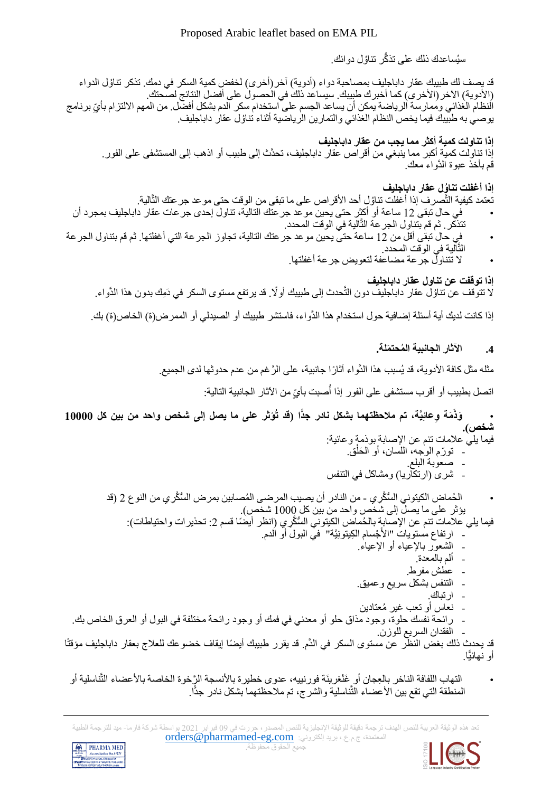سيُساعدك ذلك على تذكَّر تناوُّل دوائك.

ُول الدواء قد يصف لك طبيبك عقار داباجليف بمصاحبة دواء )أدوية( آخر)أخرى( لخفض كمية السكر في دمك. تذكر تنا (الأدوية) الآخر (الأخرى) كما أخبرك طبيبك. سيساعد ذلك في الحصول على أفضل النتائج لصحتك. النظام الغذائي وممارسة الرياضة يمكن أن يساعد الجسم على استخدام سكر الدم بشكل أفضل. من المهم الالتزام بأيِّ برنامج يوصـي به طبيبك فيما يخص النظام الغذائي والتمارين الرياضية أثناء تناؤل عقار داباجليف.

**إذا تناولت كمية أكثر مما يجب من عقار داباجليف**  إذا تناولت كمية أكبر مما ينبغي من أقراص عقار داباجليف، تحدَّث إلى طبيب أو اذهب إلى المستشفى على الفور. قم بأخذ عبوة الدَّواء معك.

**إذا أغفلت تنا ُول عقار داباجليف** 

تعتمد كيفية التّصرف إذا أغفلت تناؤلٍ أحد الأقراص على ما تبقى من الوقت حتى موعد جرعتك التّالية.

- في حال تبقى 12 ساعة أو أكثر حتى يحين موعد جرعتك التالية، تناول إحدى جرعات عقار داباجليف بمجرد أن تتذكر. ثم قم بتناول الجرعة التَّالية في الوقت المحدد.
- في حال تبقى أقل من 12 ساعة حتى يحين موعد جرعتك التالية، تجاوز الجرعة التي أغفلتها. ثم قم بتناول الجرعة التَّالية في الوقت المحدد.
	- ال تتناول جرعة مضاعفة لتعويض جرعة أغفلتها.

**إذا توقفت عن تناول عقار داباجليف** لا تتوقف عن تناوُل عقار داباجليف دون التَّحدث إلى طبيبك أو لًا. قد يرتفع مستوى السكر في دَمِك بدون هذا الدَّواء.

إذا كانت لديك أية أسئلة إضافية حول استخدام هذا الدَّواء، فاستشر طبيبك أو الصيدلي أو الممرض)ة( الخاص)ة( بك.

## **.4 اآلثار الجانبية ال ُمحت َملة.**

مثله مثل كافة الأدوية، قد يُسبب هذا الدَّواء آثارًا جانبية، على الرَّغم من عدم حدوثها لدى الجميع.

اتصل بطبيب أو أقرب مستشفى على الفور إذا أُصبت بأيِّ من الآثار الجانبية التالية:

. وَذَمَة وِعائِيَّة، تم ملاحظتهما بشكل نادر جذًا (قد تُوَثِّر على ما يصل إلى شخص واحد من بين كل 10000 **شخص(.** 

- فيما يلي علامات تنم عن الإصابة بوذمة وعائية: ْ
	- تورّم الموجه، اللسان، أو الْحَلْق. - صعوبة البلع.
- شرى (ارتكاريا) ومشاكل في التنفس
- الْحُماض الكيتوني السُّكِّرِ ي من النادر أن يصيب المرضى المُصابين بمرض السُّكِّرِ ي من النوع 2 (قد يؤثر على ما يصل إلى شخص واحد من بين كل 1000 شخص(.
	- فيما يلي علامات تنم عن الإصابة بالحُماض الكيتوني السُّكَّرِي (انظر أيضًا قسم 2: تحذيرات واحتياطات): - ارتفاع مستويات "الأَجْسام الكِيتونِيَّة" في البولَ أو الدم.
		- الشعور باإلعياء أو اإلعياء.
			- ألم بالمعدة.
				- عطش مفرط.
			- التنفس بشكل سريع وعميح.
				- ارتباك.
			- نعاس أو تعب غير ُمعتادين
- رائحة نفسك حلوة، وجود مذاق حلو أو معدني في فمك أو وجود رائحة مختلفة في البول أو العرق الخاص بك.
	- الفقدان السريع للوزن.

قد يحدث ذلك بغض النظر عن مستوى السكر في الدَّم. قد يقرر طبيبك أيضًا إيقاف خضوعك للعلاج بعقار داباجليف مؤقتًا أو نهائيًّا.

التهاب اللفافة الناخر بالعِجان أو غَنْغرينَة فورنييه، عدوى خطيرة بالأنسجة الرَّخوة الخاصة بالأعضاء التَّناسلية أو المنطقة التي تقع بين الأعضاء التَّناسلية والشرج، تم ملاحظتهما بشكل نادر جدًّا.

.<br>هذه الوثيقة العربية للنص الهدف ترجمة دقيقة للوثيقة الإنجليزية للنص المصدر ، حررت في 09 فبراير 2021 بواسطة شركة فارما- ميد للترجمة الطبية المعتمدة، ج.م.ع،. بريد إلكتروني: [com.eg-pharmamed@orders](mailto:orders@pharmamed-eg.com) جميع الحقوق محفوظة.



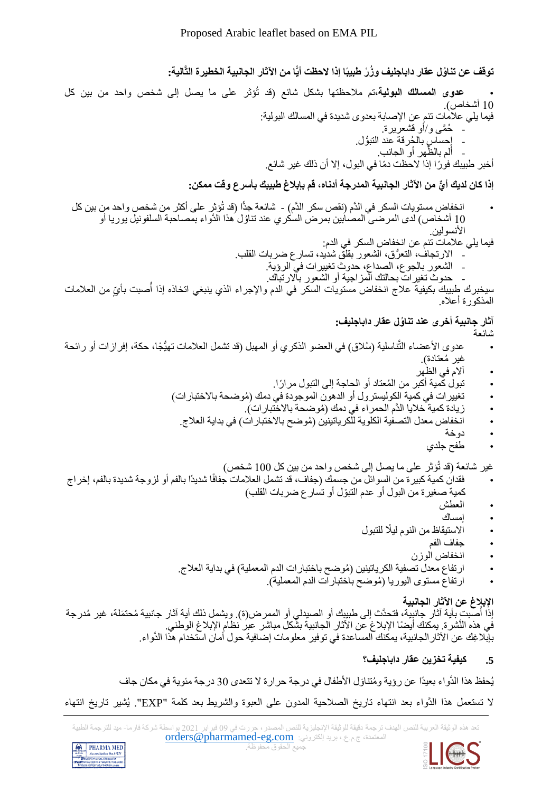**توقف عن تنا ُول عقار داباجليف و ُز ْر طبيبًا إذا الحظت أيًّا من اآلثار الجانبية الخطيرة التَّالية:** 

• **عدوى المسالك البولية،**تم مالحظتها بشكل شا ع )قد تُؤثر على ما يصل إلى شخص واحد من بين كل 10 أشخاص(. فيما يلي عالمات تنم عن اإلصابة بعدوى شديدة في المسالك البولية: - ُح َّمى و/أو قشعريرة. - إحساس بال ُحرقة عند التبُّول. َّظ - ألم هر بال أو الجانب. أخبر طبيبك فو ًرا إذا الحظت دًما في البول، إال أن ذلك غير شا ع.

**ٌّي من اآلثار الجانبية المدرج إذا كان لديك أ ة أدناه، قم بإبالغ طبيبك بأسرع وقت ممكن:**

• انخفاض مستويات السكر في الدَّم )نقص سكر الدَّم( - شا عة جدًّا )قد تُؤثر على أكثر من شخص واحد من بين كل ُول هذا الدَّواء بمصاحبة السلفونيل يوريا أو 10 أشخاص( لدى المرضى المصابين بمرض السكري عند تنا األنسولين.

فيما يلي عالمات تنم عن انخفاض السكر في الدم:

- االرتجاف، التعُّرق، الشعور بقلح شديد، تسارع ضربات القلب. - الشعور بالجوع، الصداع، حدوث تغييرات في الرؤية.
	- حدوث تغيرات بحالتك المزاجية أو الشعور باالرتباك.

سيخبرك طبيبك بكيفية علاج انخفاض مستويات السكر في الدم والإجراء الذي ينبغي اتخاذه إذا أصبت بأيٍّ من العلامات المذكورة أعاله.

## **آثار جانبية أخرى عند تنا ُول عقار داباجليف:**

شائعة

- عدوى الأعضاء التَّناسلية (سُلاق) في العضو الذكري أو المهبل (قد تشمل العلامات تهيُّجًا، حكة، إفرازات أو رائحة غير مُعتادة).
	- آالم في الظهر
	- تبول كمية أكبر من المُعتاد أو الحاجة إلى التبول مرارًا.
	- تغييرات في كمية الكوليسترول أو الدهون الموجودة في دمك (مُوضحة بالاختبارات)
		- زيادة كمية خلايا الدَّم الحمر اء في دمك (مُوضحة بالاختبار ات).
		- انخفاض معدل التصفية الكلوية للكرياتينين (مُوضح بالاختبارات) في بداية العلاج.
			- دوخة
			- طفح جلدي

غير شائعة (قد تُؤثر على ما يصل إلى شخص واحد من بين كل 100 شخص)

- فقدان كمية كبير ة من السوائل من جسمك (جفاف، قد تشمل العلامات جفافًا شديدًا بالفم أو لزوجة شديدة بالفم، إخراج كمية صغيرة من البول أو عدم التبّول أو تسارع ضربات القلب(
	- العطش
	- امساك
	- االستيقاظ من النوم لي ًال للتبول
		- جفاف الفم
		- انخفاض الوزن
	- ارتفاع معدل تصفية الكرياتينين (مُوضح باختبارات الدم المعملية) في بداية العلاج.
		- ارتفاع مستوى اليوريا (مُوضح باختبارات الدم المعملية).

## **اإلبالغ عن اآلثار الجانبية**

إذا أُصبت بأية آثار جانبيّة، فتحدَّث إلى طبيبك أو الصبدلي أو الممرض(ة). ويشمل ذلك أية آثار جانبية مُحتمَلة، غير مُدرجة في هذه النَّشرة. يمكنك أيضًا الإبلاغ عن الآثار الجانبية بشّكل مباشر عبر نظام الإبلاغ الوطني. بإبال ِغك عن اآلثارالجانبية، يمكنك المساعدة في توفير معلومات إضافية حول أمان استخدام هذا الدَّواء.

## **.5 كيفية تخزين عقار داباجليف؟**

يُحفظ هذا الدَّواء بعيدًا عن رؤية ومُتناوَل الأطفال في درجة حرارة لا تتعدى 30 درجة مئوية في مكان جاف

ال تستعمل هذا الدَّواء بعد انتهاء تاريخ الصالحية المدون على العبوة والشريط بعد كلمة "EXP". يُشير تاريخ انتهاء